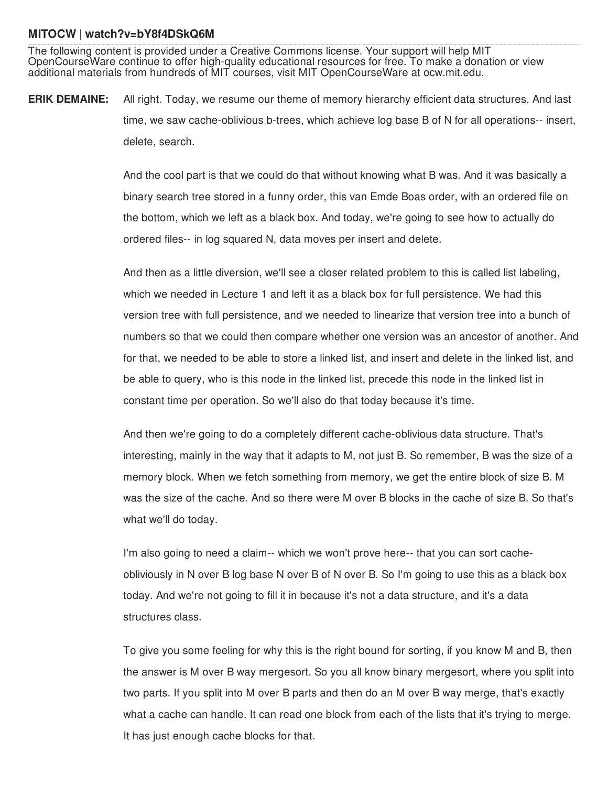## **MITOCW | watch?v=bY8f4DSkQ6M**

The following content is provided under a Creative Commons license. Your support will help MIT OpenCourseWare continue to offer high-quality educational resources for free. To make a donation or view additional materials from hundreds of MIT courses, visit MIT OpenCourseWare at ocw.mit.edu.

**ERIK DEMAINE:** All right. Today, we resume our theme of memory hierarchy efficient data structures. And last time, we saw cache-oblivious b-trees, which achieve log base B of N for all operations-- insert, delete, search.

> And the cool part is that we could do that without knowing what B was. And it was basically a binary search tree stored in a funny order, this van Emde Boas order, with an ordered file on the bottom, which we left as a black box. And today, we're going to see how to actually do ordered files-- in log squared N, data moves per insert and delete.

And then as a little diversion, we'll see a closer related problem to this is called list labeling, which we needed in Lecture 1 and left it as a black box for full persistence. We had this version tree with full persistence, and we needed to linearize that version tree into a bunch of numbers so that we could then compare whether one version was an ancestor of another. And for that, we needed to be able to store a linked list, and insert and delete in the linked list, and be able to query, who is this node in the linked list, precede this node in the linked list in constant time per operation. So we'll also do that today because it's time.

And then we're going to do a completely different cache-oblivious data structure. That's interesting, mainly in the way that it adapts to M, not just B. So remember, B was the size of a memory block. When we fetch something from memory, we get the entire block of size B. M was the size of the cache. And so there were M over B blocks in the cache of size B. So that's what we'll do today.

I'm also going to need a claim-- which we won't prove here-- that you can sort cacheobliviously in N over B log base N over B of N over B. So I'm going to use this as a black box today. And we're not going to fill it in because it's not a data structure, and it's a data structures class.

To give you some feeling for why this is the right bound for sorting, if you know M and B, then the answer is M over B way mergesort. So you all know binary mergesort, where you split into two parts. If you split into M over B parts and then do an M over B way merge, that's exactly what a cache can handle. It can read one block from each of the lists that it's trying to merge. It has just enough cache blocks for that.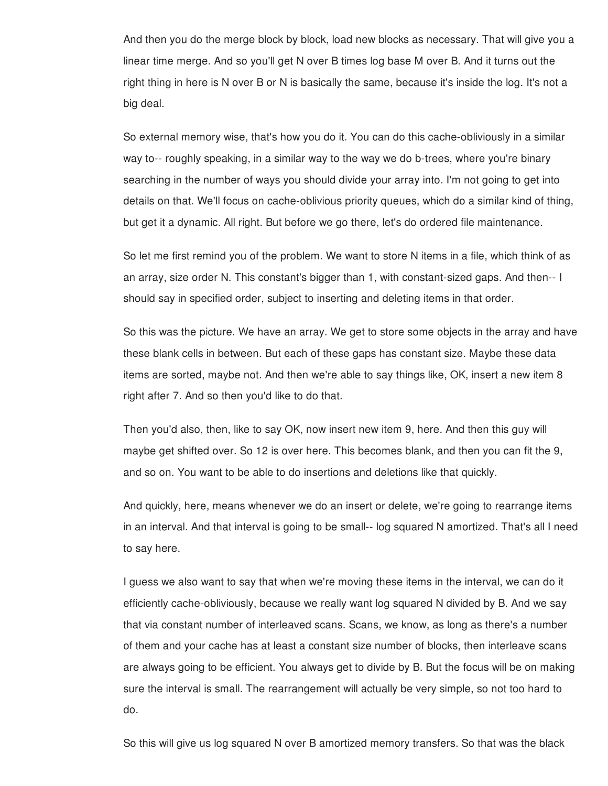And then you do the merge block by block, load new blocks as necessary. That will give you a linear time merge. And so you'll get N over B times log base M over B. And it turns out the right thing in here is N over B or N is basically the same, because it's inside the log. It's not a big deal.

So external memory wise, that's how you do it. You can do this cache-obliviously in a similar way to-- roughly speaking, in a similar way to the way we do b-trees, where you're binary searching in the number of ways you should divide your array into. I'm not going to get into details on that. We'll focus on cache-oblivious priority queues, which do a similar kind of thing, but get it a dynamic. All right. But before we go there, let's do ordered file maintenance.

So let me first remind you of the problem. We want to store N items in a file, which think of as an array, size order N. This constant's bigger than 1, with constant-sized gaps. And then-- I should say in specified order, subject to inserting and deleting items in that order.

So this was the picture. We have an array. We get to store some objects in the array and have these blank cells in between. But each of these gaps has constant size. Maybe these data items are sorted, maybe not. And then we're able to say things like, OK, insert a new item 8 right after 7. And so then you'd like to do that.

Then you'd also, then, like to say OK, now insert new item 9, here. And then this guy will maybe get shifted over. So 12 is over here. This becomes blank, and then you can fit the 9, and so on. You want to be able to do insertions and deletions like that quickly.

And quickly, here, means whenever we do an insert or delete, we're going to rearrange items in an interval. And that interval is going to be small-- log squared N amortized. That's all I need to say here.

I guess we also want to say that when we're moving these items in the interval, we can do it efficiently cache-obliviously, because we really want log squared N divided by B. And we say that via constant number of interleaved scans. Scans, we know, as long as there's a number of them and your cache has at least a constant size number of blocks, then interleave scans are always going to be efficient. You always get to divide by B. But the focus will be on making sure the interval is small. The rearrangement will actually be very simple, so not too hard to do.

So this will give us log squared N over B amortized memory transfers. So that was the black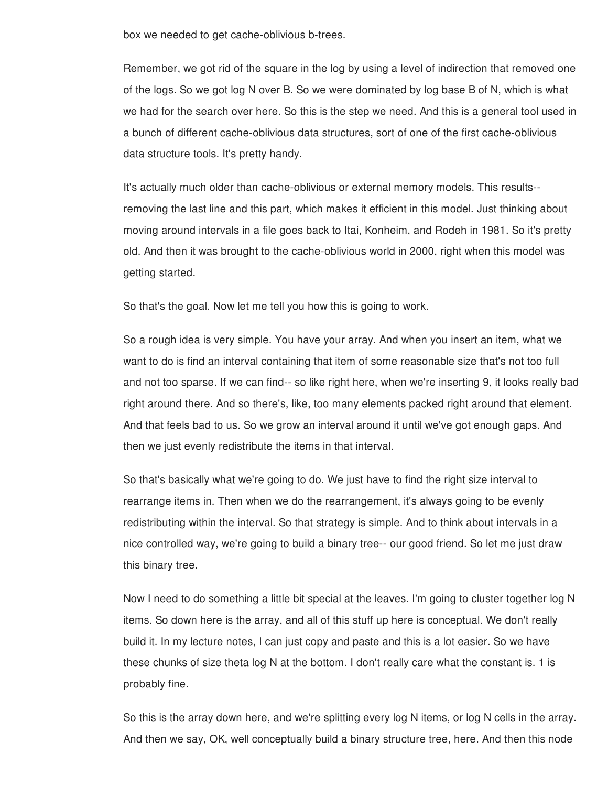box we needed to get cache-oblivious b-trees.

Remember, we got rid of the square in the log by using a level of indirection that removed one of the logs. So we got log N over B. So we were dominated by log base B of N, which is what we had for the search over here. So this is the step we need. And this is a general tool used in a bunch of different cache-oblivious data structures, sort of one of the first cache-oblivious data structure tools. It's pretty handy.

It's actually much older than cache-oblivious or external memory models. This results- removing the last line and this part, which makes it efficient in this model. Just thinking about moving around intervals in a file goes back to Itai, Konheim, and Rodeh in 1981. So it's pretty old. And then it was brought to the cache-oblivious world in 2000, right when this model was getting started.

So that's the goal. Now let me tell you how this is going to work.

So a rough idea is very simple. You have your array. And when you insert an item, what we want to do is find an interval containing that item of some reasonable size that's not too full and not too sparse. If we can find-- so like right here, when we're inserting 9, it looks really bad right around there. And so there's, like, too many elements packed right around that element. And that feels bad to us. So we grow an interval around it until we've got enough gaps. And then we just evenly redistribute the items in that interval.

So that's basically what we're going to do. We just have to find the right size interval to rearrange items in. Then when we do the rearrangement, it's always going to be evenly redistributing within the interval. So that strategy is simple. And to think about intervals in a nice controlled way, we're going to build a binary tree-- our good friend. So let me just draw this binary tree.

Now I need to do something a little bit special at the leaves. I'm going to cluster together log N items. So down here is the array, and all of this stuff up here is conceptual. We don't really build it. In my lecture notes, I can just copy and paste and this is a lot easier. So we have these chunks of size theta log N at the bottom. I don't really care what the constant is. 1 is probably fine.

So this is the array down here, and we're splitting every log N items, or log N cells in the array. And then we say, OK, well conceptually build a binary structure tree, here. And then this node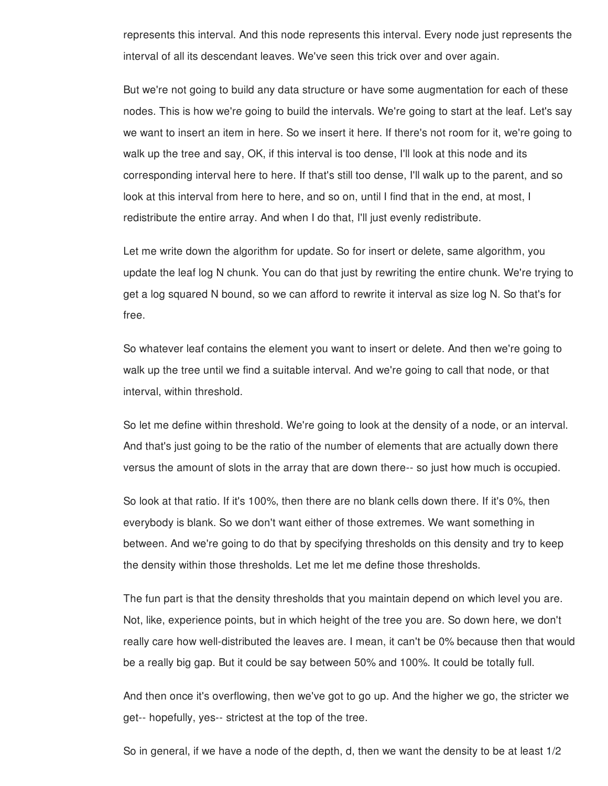represents this interval. And this node represents this interval. Every node just represents the interval of all its descendant leaves. We've seen this trick over and over again.

But we're not going to build any data structure or have some augmentation for each of these nodes. This is how we're going to build the intervals. We're going to start at the leaf. Let's say we want to insert an item in here. So we insert it here. If there's not room for it, we're going to walk up the tree and say, OK, if this interval is too dense, I'll look at this node and its corresponding interval here to here. If that's still too dense, I'll walk up to the parent, and so look at this interval from here to here, and so on, until I find that in the end, at most, I redistribute the entire array. And when I do that, I'll just evenly redistribute.

Let me write down the algorithm for update. So for insert or delete, same algorithm, you update the leaf log N chunk. You can do that just by rewriting the entire chunk. We're trying to get a log squared N bound, so we can afford to rewrite it interval as size log N. So that's for free.

So whatever leaf contains the element you want to insert or delete. And then we're going to walk up the tree until we find a suitable interval. And we're going to call that node, or that interval, within threshold.

So let me define within threshold. We're going to look at the density of a node, or an interval. And that's just going to be the ratio of the number of elements that are actually down there versus the amount of slots in the array that are down there-- so just how much is occupied.

So look at that ratio. If it's 100%, then there are no blank cells down there. If it's 0%, then everybody is blank. So we don't want either of those extremes. We want something in between. And we're going to do that by specifying thresholds on this density and try to keep the density within those thresholds. Let me let me define those thresholds.

The fun part is that the density thresholds that you maintain depend on which level you are. Not, like, experience points, but in which height of the tree you are. So down here, we don't really care how well-distributed the leaves are. I mean, it can't be 0% because then that would be a really big gap. But it could be say between 50% and 100%. It could be totally full.

And then once it's overflowing, then we've got to go up. And the higher we go, the stricter we get-- hopefully, yes-- strictest at the top of the tree.

So in general, if we have a node of the depth, d, then we want the density to be at least 1/2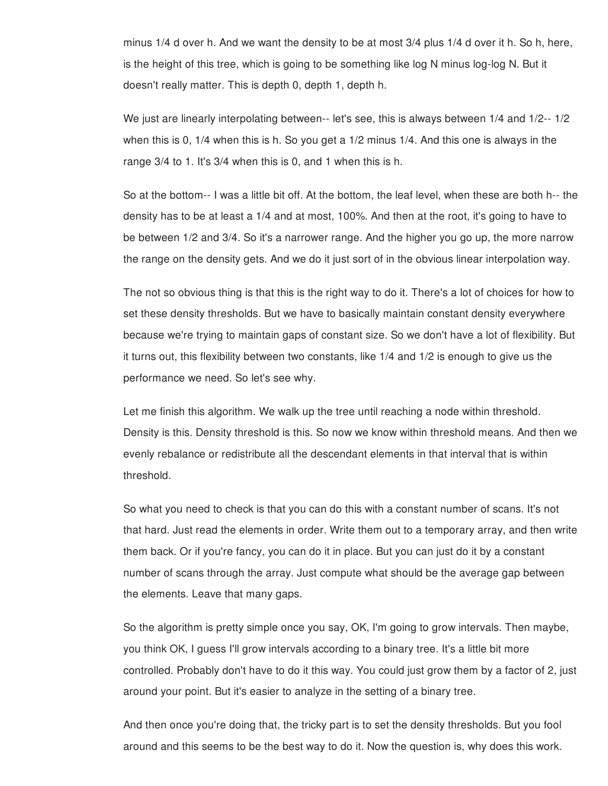minus 1/4 d over h. And we want the density to be at most 3/4 plus 1/4 d over it h. So h, here, is the height of this tree, which is going to be something like log N minus log-log N. But it doesn't really matter. This is depth 0, depth 1, depth h.

We just are linearly interpolating between-- let's see, this is always between 1/4 and 1/2-- 1/2 when this is 0, 1/4 when this is h. So you get a 1/2 minus 1/4. And this one is always in the range 3/4 to 1. It's 3/4 when this is 0, and 1 when this is h.

So at the bottom-- I was a little bit off. At the bottom, the leaf level, when these are both h-- the density has to be at least a 1/4 and at most, 100%. And then at the root, it's going to have to be between 1/2 and 3/4. So it's a narrower range. And the higher you go up, the more narrow the range on the density gets. And we do it just sort of in the obvious linear interpolation way.

The not so obvious thing is that this is the right way to do it. There's a lot of choices for how to set these density thresholds. But we have to basically maintain constant density everywhere because we're trying to maintain gaps of constant size. So we don't have a lot of flexibility. But it turns out, this flexibility between two constants, like 1/4 and 1/2 is enough to give us the performance we need. So let's see why.

Let me finish this algorithm. We walk up the tree until reaching a node within threshold. Density is this. Density threshold is this. So now we know within threshold means. And then we evenly rebalance or redistribute all the descendant elements in that interval that is within threshold.

So what you need to check is that you can do this with a constant number of scans. It's not that hard. Just read the elements in order. Write them out to a temporary array, and then write them back. Or if you're fancy, you can do it in place. But you can just do it by a constant number of scans through the array. Just compute what should be the average gap between the elements. Leave that many gaps.

So the algorithm is pretty simple once you say, OK, I'm going to grow intervals. Then maybe, you think OK, I guess I'll grow intervals according to a binary tree. It's a little bit more controlled. Probably don't have to do it this way. You could just grow them by a factor of 2, just around your point. But it's easier to analyze in the setting of a binary tree.

And then once you're doing that, the tricky part is to set the density thresholds. But you fool around and this seems to be the best way to do it. Now the question is, why does this work.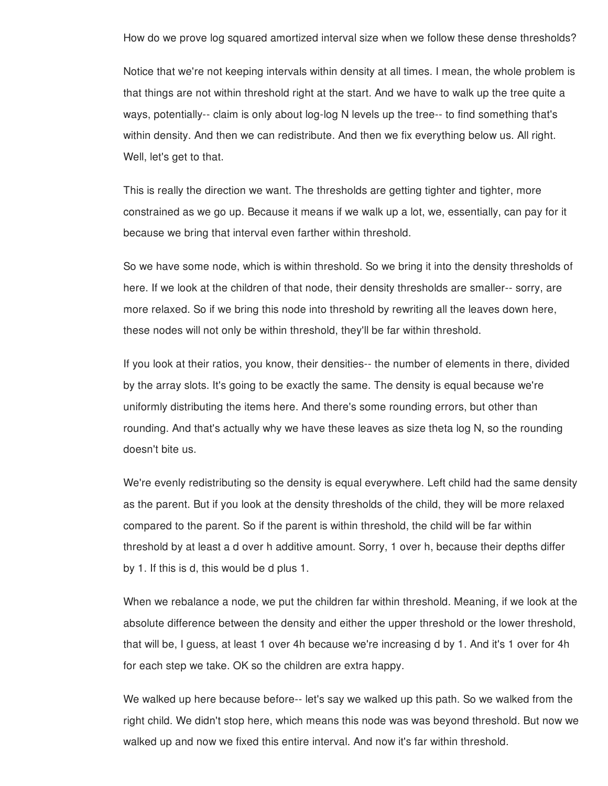How do we prove log squared amortized interval size when we follow these dense thresholds?

Notice that we're not keeping intervals within density at all times. I mean, the whole problem is that things are not within threshold right at the start. And we have to walk up the tree quite a ways, potentially-- claim is only about log-log N levels up the tree-- to find something that's within density. And then we can redistribute. And then we fix everything below us. All right. Well, let's get to that.

This is really the direction we want. The thresholds are getting tighter and tighter, more constrained as we go up. Because it means if we walk up a lot, we, essentially, can pay for it because we bring that interval even farther within threshold.

So we have some node, which is within threshold. So we bring it into the density thresholds of here. If we look at the children of that node, their density thresholds are smaller-- sorry, are more relaxed. So if we bring this node into threshold by rewriting all the leaves down here, these nodes will not only be within threshold, they'll be far within threshold.

If you look at their ratios, you know, their densities-- the number of elements in there, divided by the array slots. It's going to be exactly the same. The density is equal because we're uniformly distributing the items here. And there's some rounding errors, but other than rounding. And that's actually why we have these leaves as size theta log N, so the rounding doesn't bite us.

We're evenly redistributing so the density is equal everywhere. Left child had the same density as the parent. But if you look at the density thresholds of the child, they will be more relaxed compared to the parent. So if the parent is within threshold, the child will be far within threshold by at least a d over h additive amount. Sorry, 1 over h, because their depths differ by 1. If this is d, this would be d plus 1.

When we rebalance a node, we put the children far within threshold. Meaning, if we look at the absolute difference between the density and either the upper threshold or the lower threshold, that will be, I guess, at least 1 over 4h because we're increasing d by 1. And it's 1 over for 4h for each step we take. OK so the children are extra happy.

We walked up here because before-- let's say we walked up this path. So we walked from the right child. We didn't stop here, which means this node was was beyond threshold. But now we walked up and now we fixed this entire interval. And now it's far within threshold.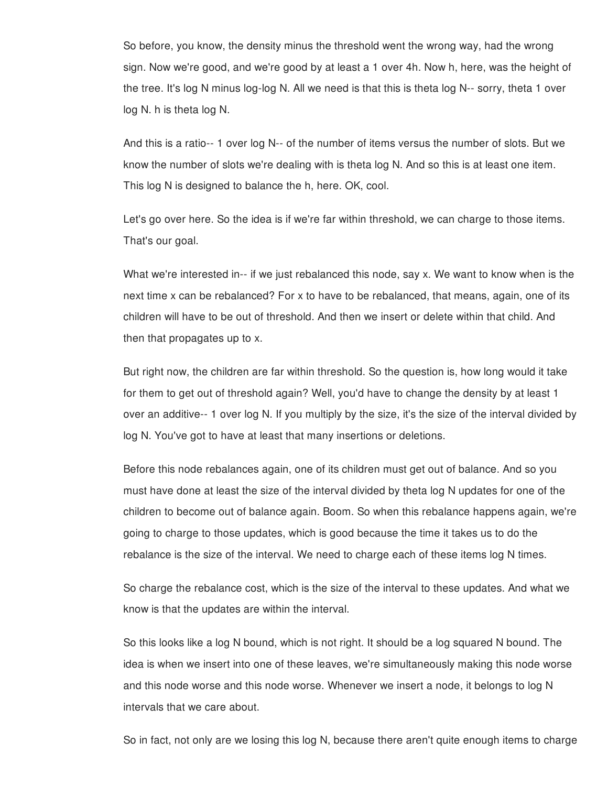So before, you know, the density minus the threshold went the wrong way, had the wrong sign. Now we're good, and we're good by at least a 1 over 4h. Now h, here, was the height of the tree. It's log N minus log-log N. All we need is that this is theta log N-- sorry, theta 1 over log N. h is theta log N.

And this is a ratio-- 1 over log N-- of the number of items versus the number of slots. But we know the number of slots we're dealing with is theta log N. And so this is at least one item. This log N is designed to balance the h, here. OK, cool.

Let's go over here. So the idea is if we're far within threshold, we can charge to those items. That's our goal.

What we're interested in-- if we just rebalanced this node, say x. We want to know when is the next time x can be rebalanced? For x to have to be rebalanced, that means, again, one of its children will have to be out of threshold. And then we insert or delete within that child. And then that propagates up to x.

But right now, the children are far within threshold. So the question is, how long would it take for them to get out of threshold again? Well, you'd have to change the density by at least 1 over an additive-- 1 over log N. If you multiply by the size, it's the size of the interval divided by log N. You've got to have at least that many insertions or deletions.

Before this node rebalances again, one of its children must get out of balance. And so you must have done at least the size of the interval divided by theta log N updates for one of the children to become out of balance again. Boom. So when this rebalance happens again, we're going to charge to those updates, which is good because the time it takes us to do the rebalance is the size of the interval. We need to charge each of these items log N times.

So charge the rebalance cost, which is the size of the interval to these updates. And what we know is that the updates are within the interval.

So this looks like a log N bound, which is not right. It should be a log squared N bound. The idea is when we insert into one of these leaves, we're simultaneously making this node worse and this node worse and this node worse. Whenever we insert a node, it belongs to log N intervals that we care about.

So in fact, not only are we losing this log N, because there aren't quite enough items to charge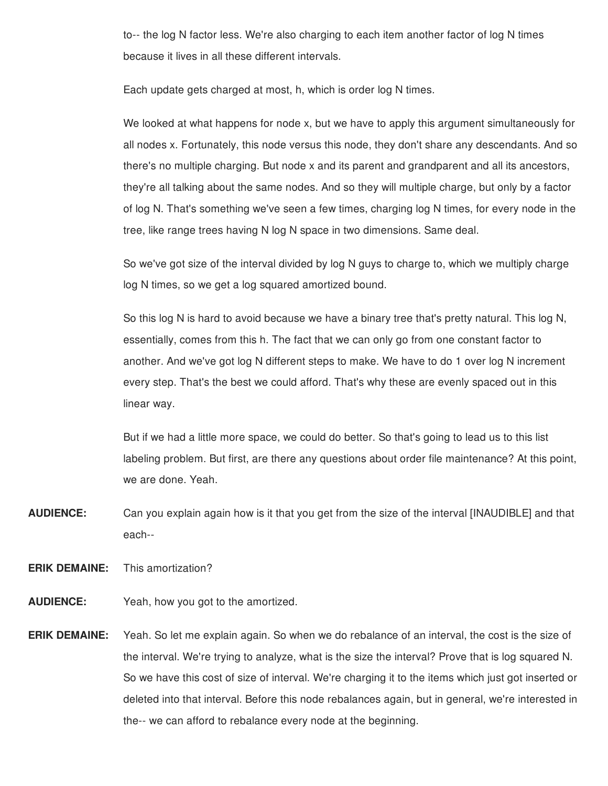to-- the log N factor less. We're also charging to each item another factor of log N times because it lives in all these different intervals.

Each update gets charged at most, h, which is order log N times.

We looked at what happens for node x, but we have to apply this argument simultaneously for all nodes x. Fortunately, this node versus this node, they don't share any descendants. And so there's no multiple charging. But node x and its parent and grandparent and all its ancestors, they're all talking about the same nodes. And so they will multiple charge, but only by a factor of log N. That's something we've seen a few times, charging log N times, for every node in the tree, like range trees having N log N space in two dimensions. Same deal.

So we've got size of the interval divided by log N guys to charge to, which we multiply charge log N times, so we get a log squared amortized bound.

So this log N is hard to avoid because we have a binary tree that's pretty natural. This log N, essentially, comes from this h. The fact that we can only go from one constant factor to another. And we've got log N different steps to make. We have to do 1 over log N increment every step. That's the best we could afford. That's why these are evenly spaced out in this linear way.

But if we had a little more space, we could do better. So that's going to lead us to this list labeling problem. But first, are there any questions about order file maintenance? At this point, we are done. Yeah.

**AUDIENCE:** Can you explain again how is it that you get from the size of the interval [INAUDIBLE] and that each--

**ERIK DEMAINE:** This amortization?

**AUDIENCE:** Yeah, how you got to the amortized.

**ERIK DEMAINE:** Yeah. So let me explain again. So when we do rebalance of an interval, the cost is the size of the interval. We're trying to analyze, what is the size the interval? Prove that is log squared N. So we have this cost of size of interval. We're charging it to the items which just got inserted or deleted into that interval. Before this node rebalances again, but in general, we're interested in the-- we can afford to rebalance every node at the beginning.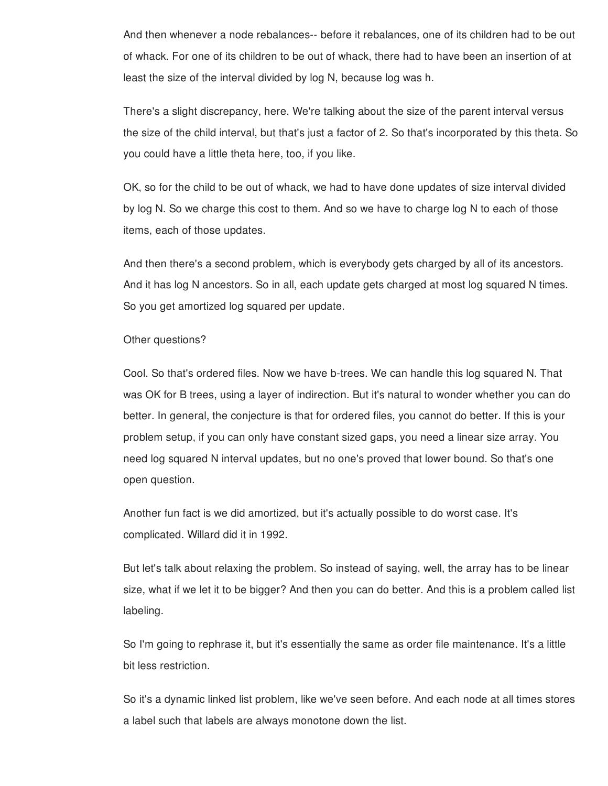And then whenever a node rebalances-- before it rebalances, one of its children had to be out of whack. For one of its children to be out of whack, there had to have been an insertion of at least the size of the interval divided by log N, because log was h.

There's a slight discrepancy, here. We're talking about the size of the parent interval versus the size of the child interval, but that's just a factor of 2. So that's incorporated by this theta. So you could have a little theta here, too, if you like.

OK, so for the child to be out of whack, we had to have done updates of size interval divided by log N. So we charge this cost to them. And so we have to charge log N to each of those items, each of those updates.

And then there's a second problem, which is everybody gets charged by all of its ancestors. And it has log N ancestors. So in all, each update gets charged at most log squared N times. So you get amortized log squared per update.

## Other questions?

Cool. So that's ordered files. Now we have b-trees. We can handle this log squared N. That was OK for B trees, using a layer of indirection. But it's natural to wonder whether you can do better. In general, the conjecture is that for ordered files, you cannot do better. If this is your problem setup, if you can only have constant sized gaps, you need a linear size array. You need log squared N interval updates, but no one's proved that lower bound. So that's one open question.

Another fun fact is we did amortized, but it's actually possible to do worst case. It's complicated. Willard did it in 1992.

But let's talk about relaxing the problem. So instead of saying, well, the array has to be linear size, what if we let it to be bigger? And then you can do better. And this is a problem called list labeling.

So I'm going to rephrase it, but it's essentially the same as order file maintenance. It's a little bit less restriction.

So it's a dynamic linked list problem, like we've seen before. And each node at all times stores a label such that labels are always monotone down the list.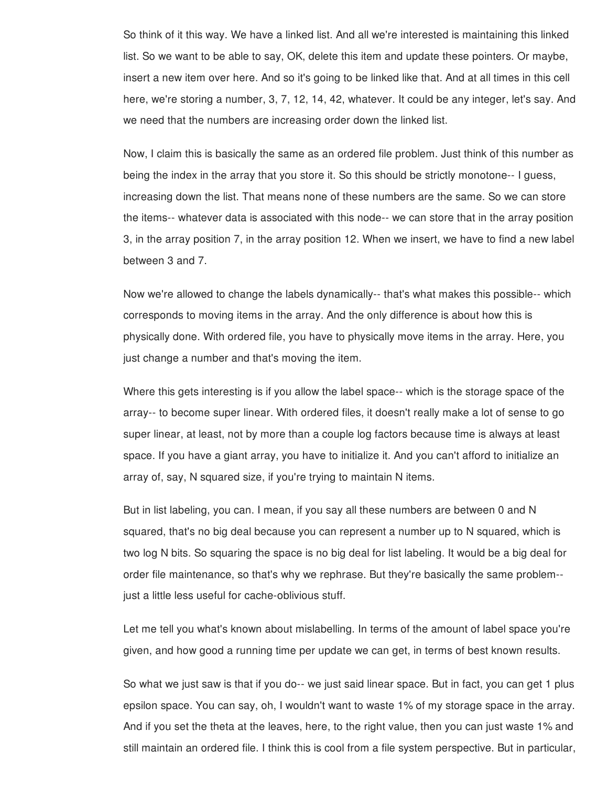So think of it this way. We have a linked list. And all we're interested is maintaining this linked list. So we want to be able to say, OK, delete this item and update these pointers. Or maybe, insert a new item over here. And so it's going to be linked like that. And at all times in this cell here, we're storing a number, 3, 7, 12, 14, 42, whatever. It could be any integer, let's say. And we need that the numbers are increasing order down the linked list.

Now, I claim this is basically the same as an ordered file problem. Just think of this number as being the index in the array that you store it. So this should be strictly monotone-- I guess, increasing down the list. That means none of these numbers are the same. So we can store the items-- whatever data is associated with this node-- we can store that in the array position 3, in the array position 7, in the array position 12. When we insert, we have to find a new label between 3 and 7.

Now we're allowed to change the labels dynamically-- that's what makes this possible-- which corresponds to moving items in the array. And the only difference is about how this is physically done. With ordered file, you have to physically move items in the array. Here, you just change a number and that's moving the item.

Where this gets interesting is if you allow the label space-- which is the storage space of the array-- to become super linear. With ordered files, it doesn't really make a lot of sense to go super linear, at least, not by more than a couple log factors because time is always at least space. If you have a giant array, you have to initialize it. And you can't afford to initialize an array of, say, N squared size, if you're trying to maintain N items.

But in list labeling, you can. I mean, if you say all these numbers are between 0 and N squared, that's no big deal because you can represent a number up to N squared, which is two log N bits. So squaring the space is no big deal for list labeling. It would be a big deal for order file maintenance, so that's why we rephrase. But they're basically the same problem- just a little less useful for cache-oblivious stuff.

Let me tell you what's known about mislabelling. In terms of the amount of label space you're given, and how good a running time per update we can get, in terms of best known results.

So what we just saw is that if you do-- we just said linear space. But in fact, you can get 1 plus epsilon space. You can say, oh, I wouldn't want to waste 1% of my storage space in the array. And if you set the theta at the leaves, here, to the right value, then you can just waste 1% and still maintain an ordered file. I think this is cool from a file system perspective. But in particular,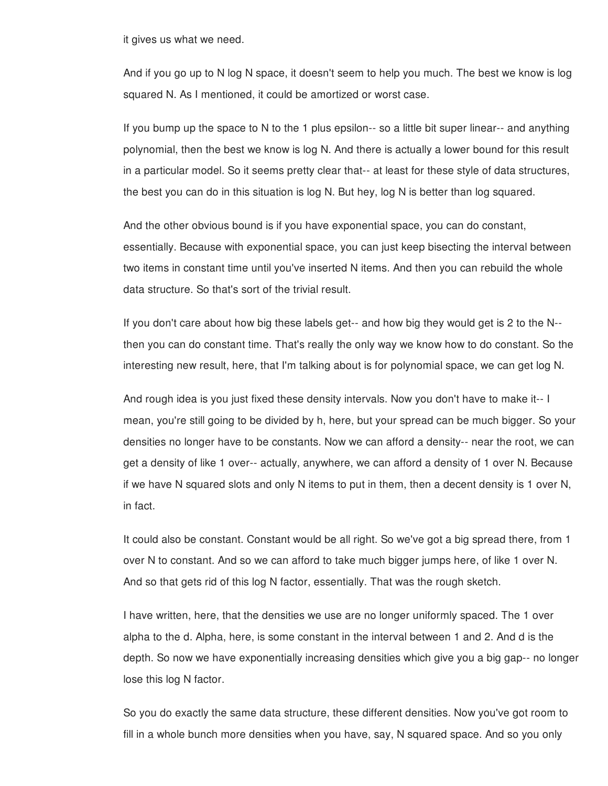it gives us what we need.

And if you go up to N log N space, it doesn't seem to help you much. The best we know is log squared N. As I mentioned, it could be amortized or worst case.

If you bump up the space to N to the 1 plus epsilon-- so a little bit super linear-- and anything polynomial, then the best we know is log N. And there is actually a lower bound for this result in a particular model. So it seems pretty clear that-- at least for these style of data structures, the best you can do in this situation is log N. But hey, log N is better than log squared.

And the other obvious bound is if you have exponential space, you can do constant, essentially. Because with exponential space, you can just keep bisecting the interval between two items in constant time until you've inserted N items. And then you can rebuild the whole data structure. So that's sort of the trivial result.

If you don't care about how big these labels get-- and how big they would get is 2 to the N- then you can do constant time. That's really the only way we know how to do constant. So the interesting new result, here, that I'm talking about is for polynomial space, we can get log N.

And rough idea is you just fixed these density intervals. Now you don't have to make it-- I mean, you're still going to be divided by h, here, but your spread can be much bigger. So your densities no longer have to be constants. Now we can afford a density-- near the root, we can get a density of like 1 over-- actually, anywhere, we can afford a density of 1 over N. Because if we have N squared slots and only N items to put in them, then a decent density is 1 over N, in fact.

It could also be constant. Constant would be all right. So we've got a big spread there, from 1 over N to constant. And so we can afford to take much bigger jumps here, of like 1 over N. And so that gets rid of this log N factor, essentially. That was the rough sketch.

I have written, here, that the densities we use are no longer uniformly spaced. The 1 over alpha to the d. Alpha, here, is some constant in the interval between 1 and 2. And d is the depth. So now we have exponentially increasing densities which give you a big gap-- no longer lose this log N factor.

So you do exactly the same data structure, these different densities. Now you've got room to fill in a whole bunch more densities when you have, say, N squared space. And so you only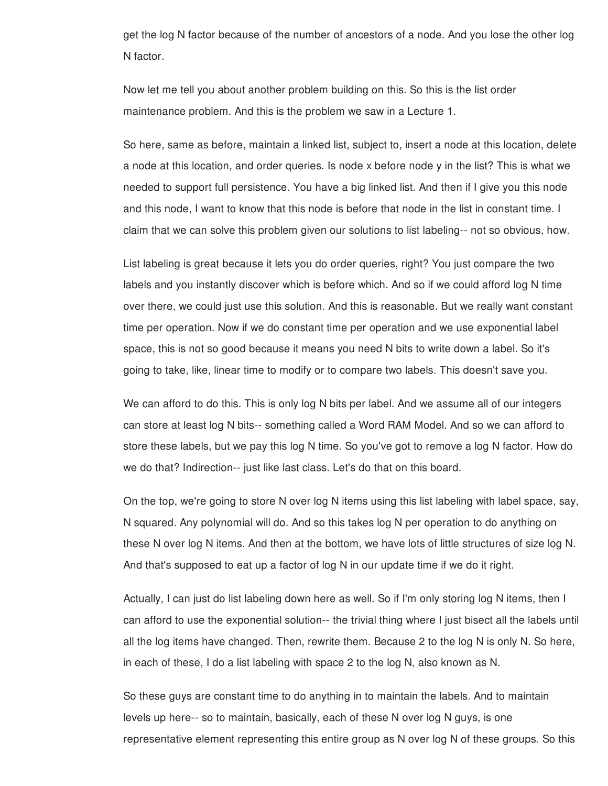get the log N factor because of the number of ancestors of a node. And you lose the other log N factor.

Now let me tell you about another problem building on this. So this is the list order maintenance problem. And this is the problem we saw in a Lecture 1.

So here, same as before, maintain a linked list, subject to, insert a node at this location, delete a node at this location, and order queries. Is node x before node y in the list? This is what we needed to support full persistence. You have a big linked list. And then if I give you this node and this node, I want to know that this node is before that node in the list in constant time. I claim that we can solve this problem given our solutions to list labeling-- not so obvious, how.

List labeling is great because it lets you do order queries, right? You just compare the two labels and you instantly discover which is before which. And so if we could afford log N time over there, we could just use this solution. And this is reasonable. But we really want constant time per operation. Now if we do constant time per operation and we use exponential label space, this is not so good because it means you need N bits to write down a label. So it's going to take, like, linear time to modify or to compare two labels. This doesn't save you.

We can afford to do this. This is only log N bits per label. And we assume all of our integers can store at least log N bits-- something called a Word RAM Model. And so we can afford to store these labels, but we pay this log N time. So you've got to remove a log N factor. How do we do that? Indirection-- just like last class. Let's do that on this board.

On the top, we're going to store N over log N items using this list labeling with label space, say, N squared. Any polynomial will do. And so this takes log N per operation to do anything on these N over log N items. And then at the bottom, we have lots of little structures of size log N. And that's supposed to eat up a factor of log N in our update time if we do it right.

Actually, I can just do list labeling down here as well. So if I'm only storing log N items, then I can afford to use the exponential solution-- the trivial thing where I just bisect all the labels until all the log items have changed. Then, rewrite them. Because 2 to the log N is only N. So here, in each of these, I do a list labeling with space 2 to the log N, also known as N.

So these guys are constant time to do anything in to maintain the labels. And to maintain levels up here-- so to maintain, basically, each of these N over log N guys, is one representative element representing this entire group as N over log N of these groups. So this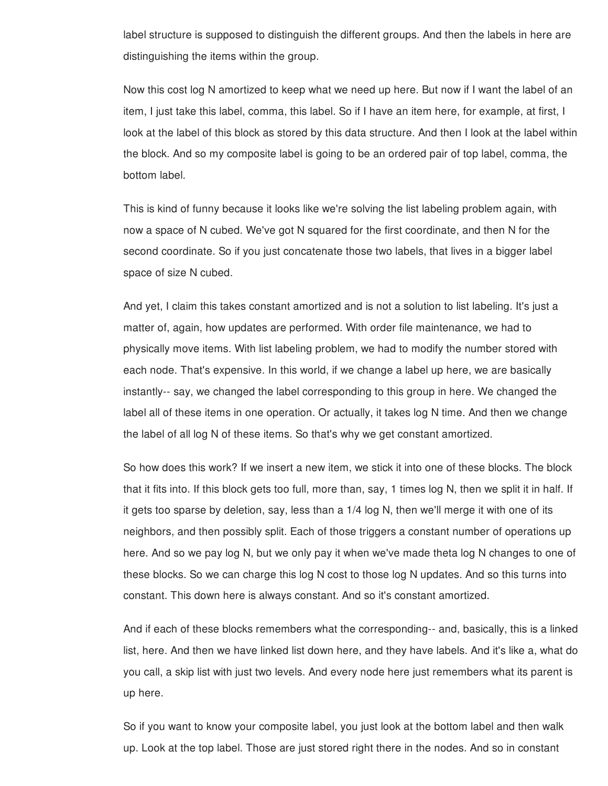label structure is supposed to distinguish the different groups. And then the labels in here are distinguishing the items within the group.

Now this cost log N amortized to keep what we need up here. But now if I want the label of an item, I just take this label, comma, this label. So if I have an item here, for example, at first, I look at the label of this block as stored by this data structure. And then I look at the label within the block. And so my composite label is going to be an ordered pair of top label, comma, the bottom label.

This is kind of funny because it looks like we're solving the list labeling problem again, with now a space of N cubed. We've got N squared for the first coordinate, and then N for the second coordinate. So if you just concatenate those two labels, that lives in a bigger label space of size N cubed.

And yet, I claim this takes constant amortized and is not a solution to list labeling. It's just a matter of, again, how updates are performed. With order file maintenance, we had to physically move items. With list labeling problem, we had to modify the number stored with each node. That's expensive. In this world, if we change a label up here, we are basically instantly-- say, we changed the label corresponding to this group in here. We changed the label all of these items in one operation. Or actually, it takes log N time. And then we change the label of all log N of these items. So that's why we get constant amortized.

So how does this work? If we insert a new item, we stick it into one of these blocks. The block that it fits into. If this block gets too full, more than, say, 1 times log N, then we split it in half. If it gets too sparse by deletion, say, less than a 1/4 log N, then we'll merge it with one of its neighbors, and then possibly split. Each of those triggers a constant number of operations up here. And so we pay log N, but we only pay it when we've made theta log N changes to one of these blocks. So we can charge this log N cost to those log N updates. And so this turns into constant. This down here is always constant. And so it's constant amortized.

And if each of these blocks remembers what the corresponding-- and, basically, this is a linked list, here. And then we have linked list down here, and they have labels. And it's like a, what do you call, a skip list with just two levels. And every node here just remembers what its parent is up here.

So if you want to know your composite label, you just look at the bottom label and then walk up. Look at the top label. Those are just stored right there in the nodes. And so in constant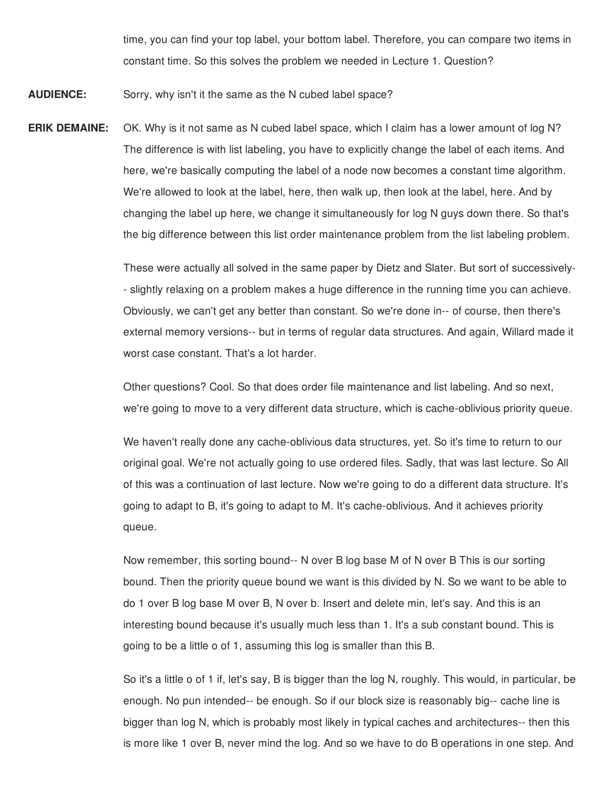time, you can find your top label, your bottom label. Therefore, you can compare two items in constant time. So this solves the problem we needed in Lecture 1. Question?

**AUDIENCE:** Sorry, why isn't it the same as the N cubed label space?

**ERIK DEMAINE:** OK. Why is it not same as N cubed label space, which I claim has a lower amount of log N? The difference is with list labeling, you have to explicitly change the label of each items. And here, we're basically computing the label of a node now becomes a constant time algorithm. We're allowed to look at the label, here, then walk up, then look at the label, here. And by changing the label up here, we change it simultaneously for log N guys down there. So that's the big difference between this list order maintenance problem from the list labeling problem.

> These were actually all solved in the same paper by Dietz and Slater. But sort of successively- - slightly relaxing on a problem makes a huge difference in the running time you can achieve. Obviously, we can't get any better than constant. So we're done in-- of course, then there's external memory versions-- but in terms of regular data structures. And again, Willard made it worst case constant. That's a lot harder.

> Other questions? Cool. So that does order file maintenance and list labeling. And so next, we're going to move to a very different data structure, which is cache-oblivious priority queue.

> We haven't really done any cache-oblivious data structures, yet. So it's time to return to our original goal. We're not actually going to use ordered files. Sadly, that was last lecture. So All of this was a continuation of last lecture. Now we're going to do a different data structure. It's going to adapt to B, it's going to adapt to M. It's cache-oblivious. And it achieves priority queue.

> Now remember, this sorting bound-- N over B log base M of N over B This is our sorting bound. Then the priority queue bound we want is this divided by N. So we want to be able to do 1 over B log base M over B, N over b. Insert and delete min, let's say. And this is an interesting bound because it's usually much less than 1. It's a sub constant bound. This is going to be a little o of 1, assuming this log is smaller than this B.

So it's a little o of 1 if, let's say, B is bigger than the log N, roughly. This would, in particular, be enough. No pun intended-- be enough. So if our block size is reasonably big-- cache line is bigger than log N, which is probably most likely in typical caches and architectures-- then this is more like 1 over B, never mind the log. And so we have to do B operations in one step. And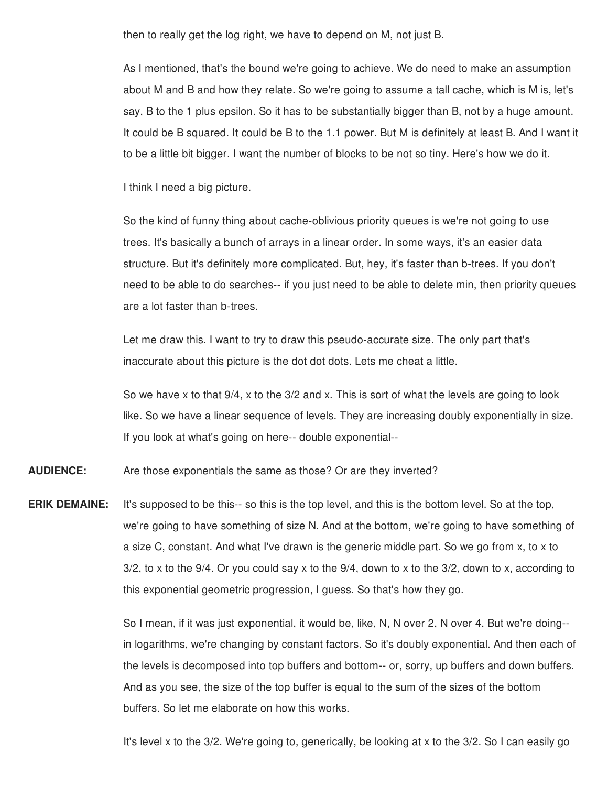then to really get the log right, we have to depend on M, not just B.

As I mentioned, that's the bound we're going to achieve. We do need to make an assumption about M and B and how they relate. So we're going to assume a tall cache, which is M is, let's say, B to the 1 plus epsilon. So it has to be substantially bigger than B, not by a huge amount. It could be B squared. It could be B to the 1.1 power. But M is definitely at least B. And I want it to be a little bit bigger. I want the number of blocks to be not so tiny. Here's how we do it.

I think I need a big picture.

So the kind of funny thing about cache-oblivious priority queues is we're not going to use trees. It's basically a bunch of arrays in a linear order. In some ways, it's an easier data structure. But it's definitely more complicated. But, hey, it's faster than b-trees. If you don't need to be able to do searches-- if you just need to be able to delete min, then priority queues are a lot faster than b-trees.

Let me draw this. I want to try to draw this pseudo-accurate size. The only part that's inaccurate about this picture is the dot dot dots. Lets me cheat a little.

So we have x to that 9/4, x to the 3/2 and x. This is sort of what the levels are going to look like. So we have a linear sequence of levels. They are increasing doubly exponentially in size. If you look at what's going on here-- double exponential--

**AUDIENCE:** Are those exponentials the same as those? Or are they inverted?

**ERIK DEMAINE:** It's supposed to be this-- so this is the top level, and this is the bottom level. So at the top, we're going to have something of size N. And at the bottom, we're going to have something of a size C, constant. And what I've drawn is the generic middle part. So we go from x, to x to  $3/2$ , to x to the  $9/4$ . Or you could say x to the  $9/4$ , down to x to the  $3/2$ , down to x, according to this exponential geometric progression, I guess. So that's how they go.

> So I mean, if it was just exponential, it would be, like, N, N over 2, N over 4. But we're doing- in logarithms, we're changing by constant factors. So it's doubly exponential. And then each of the levels is decomposed into top buffers and bottom-- or, sorry, up buffers and down buffers. And as you see, the size of the top buffer is equal to the sum of the sizes of the bottom buffers. So let me elaborate on how this works.

It's level x to the 3/2. We're going to, generically, be looking at x to the 3/2. So I can easily go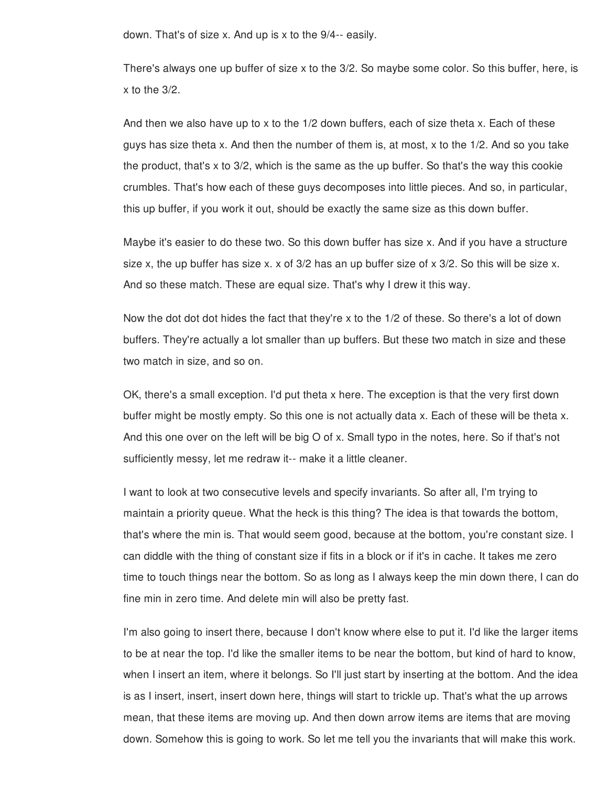down. That's of size x. And up is x to the 9/4-- easily.

There's always one up buffer of size x to the 3/2. So maybe some color. So this buffer, here, is x to the 3/2.

And then we also have up to x to the 1/2 down buffers, each of size theta x. Each of these guys has size theta x. And then the number of them is, at most, x to the 1/2. And so you take the product, that's x to 3/2, which is the same as the up buffer. So that's the way this cookie crumbles. That's how each of these guys decomposes into little pieces. And so, in particular, this up buffer, if you work it out, should be exactly the same size as this down buffer.

Maybe it's easier to do these two. So this down buffer has size x. And if you have a structure size x, the up buffer has size x. x of 3/2 has an up buffer size of x 3/2. So this will be size x. And so these match. These are equal size. That's why I drew it this way.

Now the dot dot dot hides the fact that they're x to the 1/2 of these. So there's a lot of down buffers. They're actually a lot smaller than up buffers. But these two match in size and these two match in size, and so on.

OK, there's a small exception. I'd put theta x here. The exception is that the very first down buffer might be mostly empty. So this one is not actually data x. Each of these will be theta x. And this one over on the left will be big O of x. Small typo in the notes, here. So if that's not sufficiently messy, let me redraw it-- make it a little cleaner.

I want to look at two consecutive levels and specify invariants. So after all, I'm trying to maintain a priority queue. What the heck is this thing? The idea is that towards the bottom, that's where the min is. That would seem good, because at the bottom, you're constant size. I can diddle with the thing of constant size if fits in a block or if it's in cache. It takes me zero time to touch things near the bottom. So as long as I always keep the min down there, I can do fine min in zero time. And delete min will also be pretty fast.

I'm also going to insert there, because I don't know where else to put it. I'd like the larger items to be at near the top. I'd like the smaller items to be near the bottom, but kind of hard to know, when I insert an item, where it belongs. So I'll just start by inserting at the bottom. And the idea is as I insert, insert, insert down here, things will start to trickle up. That's what the up arrows mean, that these items are moving up. And then down arrow items are items that are moving down. Somehow this is going to work. So let me tell you the invariants that will make this work.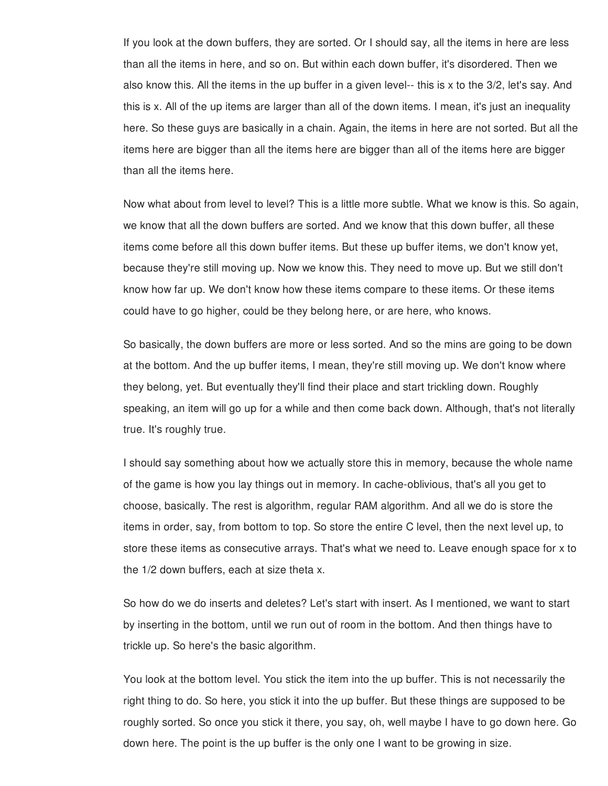If you look at the down buffers, they are sorted. Or I should say, all the items in here are less than all the items in here, and so on. But within each down buffer, it's disordered. Then we also know this. All the items in the up buffer in a given level-- this is x to the 3/2, let's say. And this is x. All of the up items are larger than all of the down items. I mean, it's just an inequality here. So these guys are basically in a chain. Again, the items in here are not sorted. But all the items here are bigger than all the items here are bigger than all of the items here are bigger than all the items here.

Now what about from level to level? This is a little more subtle. What we know is this. So again, we know that all the down buffers are sorted. And we know that this down buffer, all these items come before all this down buffer items. But these up buffer items, we don't know yet, because they're still moving up. Now we know this. They need to move up. But we still don't know how far up. We don't know how these items compare to these items. Or these items could have to go higher, could be they belong here, or are here, who knows.

So basically, the down buffers are more or less sorted. And so the mins are going to be down at the bottom. And the up buffer items, I mean, they're still moving up. We don't know where they belong, yet. But eventually they'll find their place and start trickling down. Roughly speaking, an item will go up for a while and then come back down. Although, that's not literally true. It's roughly true.

I should say something about how we actually store this in memory, because the whole name of the game is how you lay things out in memory. In cache-oblivious, that's all you get to choose, basically. The rest is algorithm, regular RAM algorithm. And all we do is store the items in order, say, from bottom to top. So store the entire C level, then the next level up, to store these items as consecutive arrays. That's what we need to. Leave enough space for x to the 1/2 down buffers, each at size theta x.

So how do we do inserts and deletes? Let's start with insert. As I mentioned, we want to start by inserting in the bottom, until we run out of room in the bottom. And then things have to trickle up. So here's the basic algorithm.

You look at the bottom level. You stick the item into the up buffer. This is not necessarily the right thing to do. So here, you stick it into the up buffer. But these things are supposed to be roughly sorted. So once you stick it there, you say, oh, well maybe I have to go down here. Go down here. The point is the up buffer is the only one I want to be growing in size.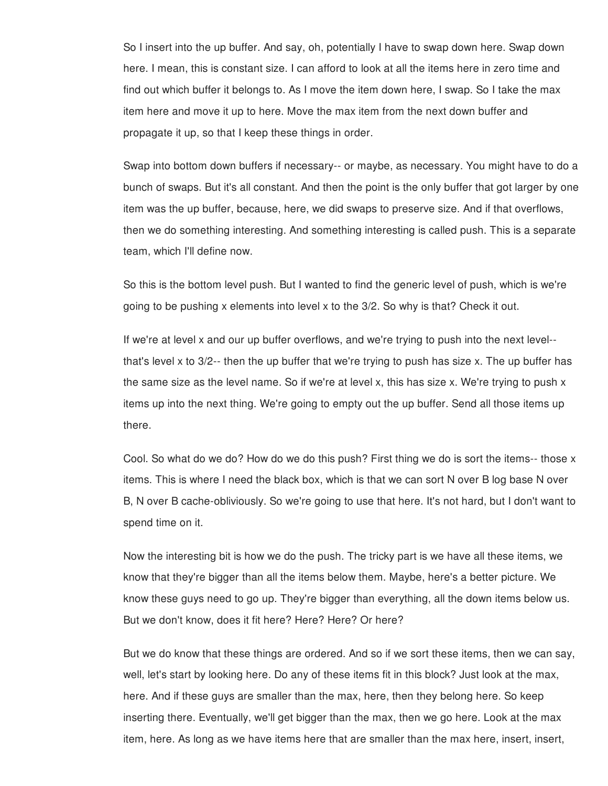So I insert into the up buffer. And say, oh, potentially I have to swap down here. Swap down here. I mean, this is constant size. I can afford to look at all the items here in zero time and find out which buffer it belongs to. As I move the item down here, I swap. So I take the max item here and move it up to here. Move the max item from the next down buffer and propagate it up, so that I keep these things in order.

Swap into bottom down buffers if necessary-- or maybe, as necessary. You might have to do a bunch of swaps. But it's all constant. And then the point is the only buffer that got larger by one item was the up buffer, because, here, we did swaps to preserve size. And if that overflows, then we do something interesting. And something interesting is called push. This is a separate team, which I'll define now.

So this is the bottom level push. But I wanted to find the generic level of push, which is we're going to be pushing x elements into level x to the 3/2. So why is that? Check it out.

If we're at level x and our up buffer overflows, and we're trying to push into the next level- that's level x to 3/2-- then the up buffer that we're trying to push has size x. The up buffer has the same size as the level name. So if we're at level x, this has size x. We're trying to push x items up into the next thing. We're going to empty out the up buffer. Send all those items up there.

Cool. So what do we do? How do we do this push? First thing we do is sort the items-- those x items. This is where I need the black box, which is that we can sort N over B log base N over B, N over B cache-obliviously. So we're going to use that here. It's not hard, but I don't want to spend time on it.

Now the interesting bit is how we do the push. The tricky part is we have all these items, we know that they're bigger than all the items below them. Maybe, here's a better picture. We know these guys need to go up. They're bigger than everything, all the down items below us. But we don't know, does it fit here? Here? Here? Or here?

But we do know that these things are ordered. And so if we sort these items, then we can say, well, let's start by looking here. Do any of these items fit in this block? Just look at the max, here. And if these guys are smaller than the max, here, then they belong here. So keep inserting there. Eventually, we'll get bigger than the max, then we go here. Look at the max item, here. As long as we have items here that are smaller than the max here, insert, insert,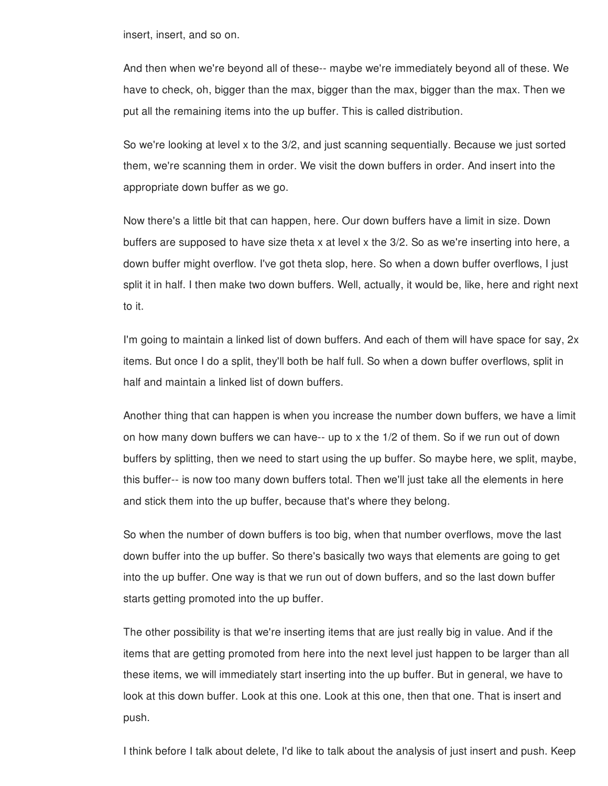insert, insert, and so on.

And then when we're beyond all of these-- maybe we're immediately beyond all of these. We have to check, oh, bigger than the max, bigger than the max, bigger than the max. Then we put all the remaining items into the up buffer. This is called distribution.

So we're looking at level x to the 3/2, and just scanning sequentially. Because we just sorted them, we're scanning them in order. We visit the down buffers in order. And insert into the appropriate down buffer as we go.

Now there's a little bit that can happen, here. Our down buffers have a limit in size. Down buffers are supposed to have size theta x at level x the 3/2. So as we're inserting into here, a down buffer might overflow. I've got theta slop, here. So when a down buffer overflows, I just split it in half. I then make two down buffers. Well, actually, it would be, like, here and right next to it.

I'm going to maintain a linked list of down buffers. And each of them will have space for say, 2x items. But once I do a split, they'll both be half full. So when a down buffer overflows, split in half and maintain a linked list of down buffers.

Another thing that can happen is when you increase the number down buffers, we have a limit on how many down buffers we can have-- up to x the 1/2 of them. So if we run out of down buffers by splitting, then we need to start using the up buffer. So maybe here, we split, maybe, this buffer-- is now too many down buffers total. Then we'll just take all the elements in here and stick them into the up buffer, because that's where they belong.

So when the number of down buffers is too big, when that number overflows, move the last down buffer into the up buffer. So there's basically two ways that elements are going to get into the up buffer. One way is that we run out of down buffers, and so the last down buffer starts getting promoted into the up buffer.

The other possibility is that we're inserting items that are just really big in value. And if the items that are getting promoted from here into the next level just happen to be larger than all these items, we will immediately start inserting into the up buffer. But in general, we have to look at this down buffer. Look at this one. Look at this one, then that one. That is insert and push.

I think before I talk about delete, I'd like to talk about the analysis of just insert and push. Keep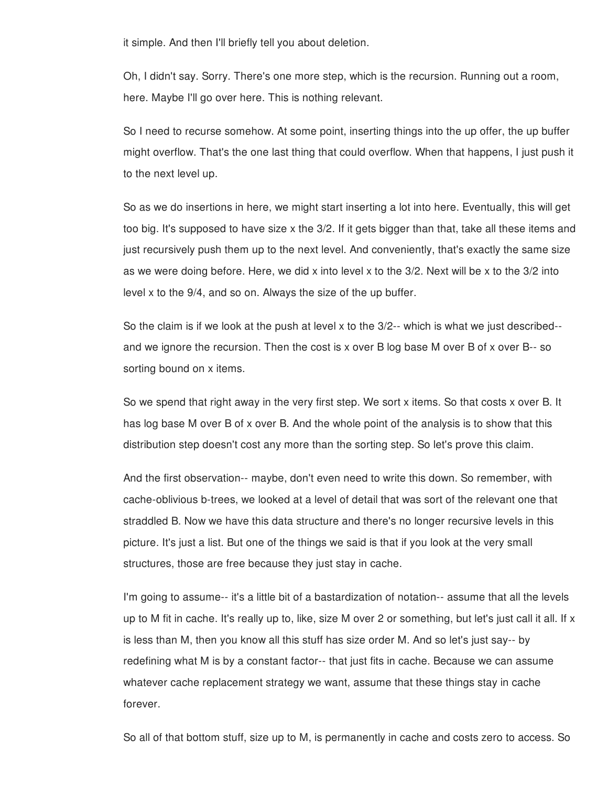it simple. And then I'll briefly tell you about deletion.

Oh, I didn't say. Sorry. There's one more step, which is the recursion. Running out a room, here. Maybe I'll go over here. This is nothing relevant.

So I need to recurse somehow. At some point, inserting things into the up offer, the up buffer might overflow. That's the one last thing that could overflow. When that happens, I just push it to the next level up.

So as we do insertions in here, we might start inserting a lot into here. Eventually, this will get too big. It's supposed to have size x the 3/2. If it gets bigger than that, take all these items and just recursively push them up to the next level. And conveniently, that's exactly the same size as we were doing before. Here, we did x into level x to the 3/2. Next will be x to the 3/2 into level x to the 9/4, and so on. Always the size of the up buffer.

So the claim is if we look at the push at level x to the 3/2-- which is what we just described- and we ignore the recursion. Then the cost is x over B log base M over B of x over B-- so sorting bound on x items.

So we spend that right away in the very first step. We sort x items. So that costs x over B. It has log base M over B of x over B. And the whole point of the analysis is to show that this distribution step doesn't cost any more than the sorting step. So let's prove this claim.

And the first observation-- maybe, don't even need to write this down. So remember, with cache-oblivious b-trees, we looked at a level of detail that was sort of the relevant one that straddled B. Now we have this data structure and there's no longer recursive levels in this picture. It's just a list. But one of the things we said is that if you look at the very small structures, those are free because they just stay in cache.

I'm going to assume-- it's a little bit of a bastardization of notation-- assume that all the levels up to M fit in cache. It's really up to, like, size M over 2 or something, but let's just call it all. If x is less than M, then you know all this stuff has size order M. And so let's just say-- by redefining what M is by a constant factor-- that just fits in cache. Because we can assume whatever cache replacement strategy we want, assume that these things stay in cache forever.

So all of that bottom stuff, size up to M, is permanently in cache and costs zero to access. So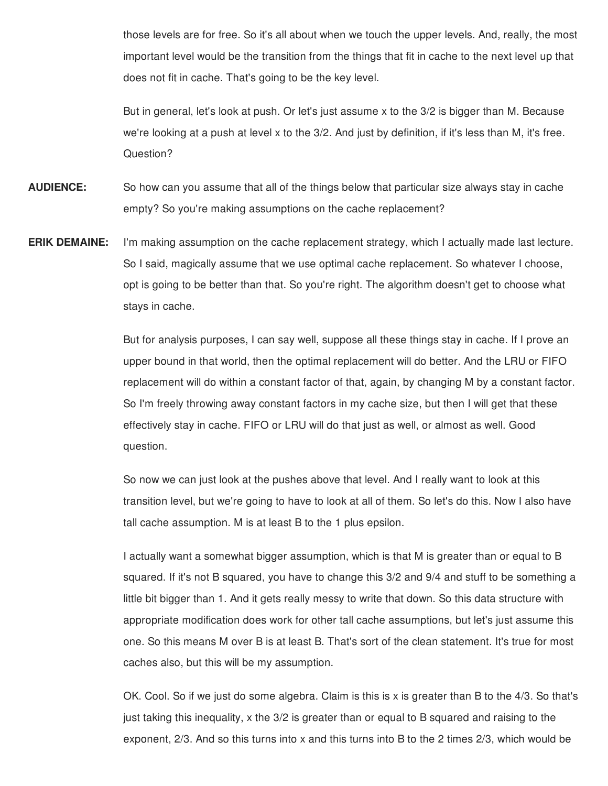those levels are for free. So it's all about when we touch the upper levels. And, really, the most important level would be the transition from the things that fit in cache to the next level up that does not fit in cache. That's going to be the key level.

But in general, let's look at push. Or let's just assume x to the 3/2 is bigger than M. Because we're looking at a push at level x to the 3/2. And just by definition, if it's less than M, it's free. Question?

- **AUDIENCE:** So how can you assume that all of the things below that particular size always stay in cache empty? So you're making assumptions on the cache replacement?
- **ERIK DEMAINE:** I'm making assumption on the cache replacement strategy, which I actually made last lecture. So I said, magically assume that we use optimal cache replacement. So whatever I choose, opt is going to be better than that. So you're right. The algorithm doesn't get to choose what stays in cache.

But for analysis purposes, I can say well, suppose all these things stay in cache. If I prove an upper bound in that world, then the optimal replacement will do better. And the LRU or FIFO replacement will do within a constant factor of that, again, by changing M by a constant factor. So I'm freely throwing away constant factors in my cache size, but then I will get that these effectively stay in cache. FIFO or LRU will do that just as well, or almost as well. Good question.

So now we can just look at the pushes above that level. And I really want to look at this transition level, but we're going to have to look at all of them. So let's do this. Now I also have tall cache assumption. M is at least B to the 1 plus epsilon.

I actually want a somewhat bigger assumption, which is that M is greater than or equal to B squared. If it's not B squared, you have to change this 3/2 and 9/4 and stuff to be something a little bit bigger than 1. And it gets really messy to write that down. So this data structure with appropriate modification does work for other tall cache assumptions, but let's just assume this one. So this means M over B is at least B. That's sort of the clean statement. It's true for most caches also, but this will be my assumption.

OK. Cool. So if we just do some algebra. Claim is this is x is greater than B to the 4/3. So that's just taking this inequality, x the 3/2 is greater than or equal to B squared and raising to the exponent, 2/3. And so this turns into x and this turns into B to the 2 times 2/3, which would be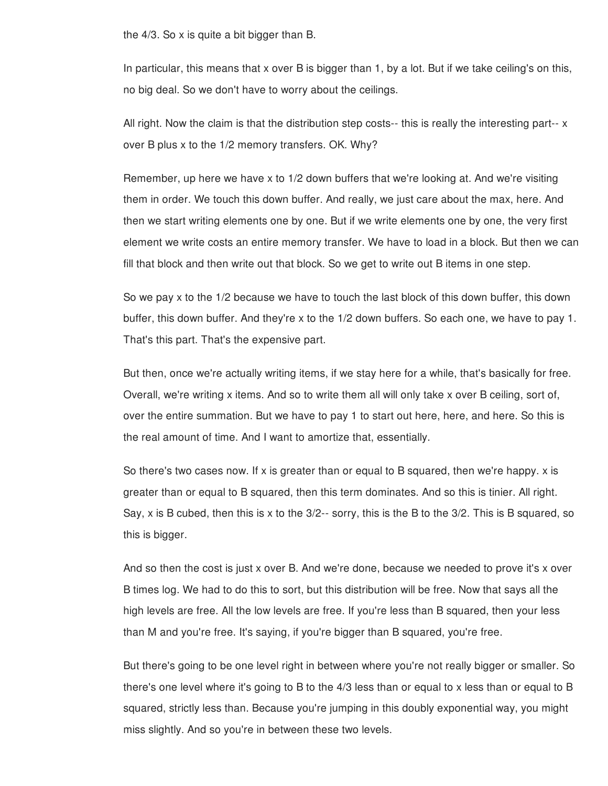the 4/3. So x is quite a bit bigger than B.

In particular, this means that x over B is bigger than 1, by a lot. But if we take ceiling's on this, no big deal. So we don't have to worry about the ceilings.

All right. Now the claim is that the distribution step costs-- this is really the interesting part-- x over B plus x to the 1/2 memory transfers. OK. Why?

Remember, up here we have x to 1/2 down buffers that we're looking at. And we're visiting them in order. We touch this down buffer. And really, we just care about the max, here. And then we start writing elements one by one. But if we write elements one by one, the very first element we write costs an entire memory transfer. We have to load in a block. But then we can fill that block and then write out that block. So we get to write out B items in one step.

So we pay x to the 1/2 because we have to touch the last block of this down buffer, this down buffer, this down buffer. And they're x to the 1/2 down buffers. So each one, we have to pay 1. That's this part. That's the expensive part.

But then, once we're actually writing items, if we stay here for a while, that's basically for free. Overall, we're writing x items. And so to write them all will only take x over B ceiling, sort of, over the entire summation. But we have to pay 1 to start out here, here, and here. So this is the real amount of time. And I want to amortize that, essentially.

So there's two cases now. If x is greater than or equal to B squared, then we're happy. x is greater than or equal to B squared, then this term dominates. And so this is tinier. All right. Say, x is B cubed, then this is x to the 3/2-- sorry, this is the B to the 3/2. This is B squared, so this is bigger.

And so then the cost is just x over B. And we're done, because we needed to prove it's x over B times log. We had to do this to sort, but this distribution will be free. Now that says all the high levels are free. All the low levels are free. If you're less than B squared, then your less than M and you're free. It's saying, if you're bigger than B squared, you're free.

But there's going to be one level right in between where you're not really bigger or smaller. So there's one level where it's going to B to the 4/3 less than or equal to x less than or equal to B squared, strictly less than. Because you're jumping in this doubly exponential way, you might miss slightly. And so you're in between these two levels.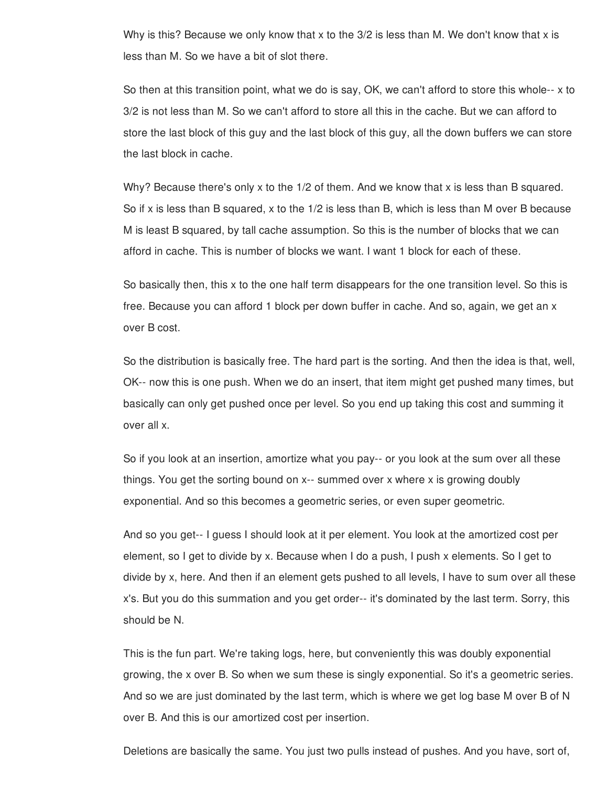Why is this? Because we only know that x to the  $3/2$  is less than M. We don't know that x is less than M. So we have a bit of slot there.

So then at this transition point, what we do is say, OK, we can't afford to store this whole-- x to 3/2 is not less than M. So we can't afford to store all this in the cache. But we can afford to store the last block of this guy and the last block of this guy, all the down buffers we can store the last block in cache.

Why? Because there's only x to the 1/2 of them. And we know that x is less than B squared. So if x is less than B squared, x to the 1/2 is less than B, which is less than M over B because M is least B squared, by tall cache assumption. So this is the number of blocks that we can afford in cache. This is number of blocks we want. I want 1 block for each of these.

So basically then, this x to the one half term disappears for the one transition level. So this is free. Because you can afford 1 block per down buffer in cache. And so, again, we get an x over B cost.

So the distribution is basically free. The hard part is the sorting. And then the idea is that, well, OK-- now this is one push. When we do an insert, that item might get pushed many times, but basically can only get pushed once per level. So you end up taking this cost and summing it over all x.

So if you look at an insertion, amortize what you pay-- or you look at the sum over all these things. You get the sorting bound on x-- summed over x where x is growing doubly exponential. And so this becomes a geometric series, or even super geometric.

And so you get-- I guess I should look at it per element. You look at the amortized cost per element, so I get to divide by x. Because when I do a push, I push x elements. So I get to divide by x, here. And then if an element gets pushed to all levels, I have to sum over all these x's. But you do this summation and you get order-- it's dominated by the last term. Sorry, this should be N.

This is the fun part. We're taking logs, here, but conveniently this was doubly exponential growing, the x over B. So when we sum these is singly exponential. So it's a geometric series. And so we are just dominated by the last term, which is where we get log base M over B of N over B. And this is our amortized cost per insertion.

Deletions are basically the same. You just two pulls instead of pushes. And you have, sort of,